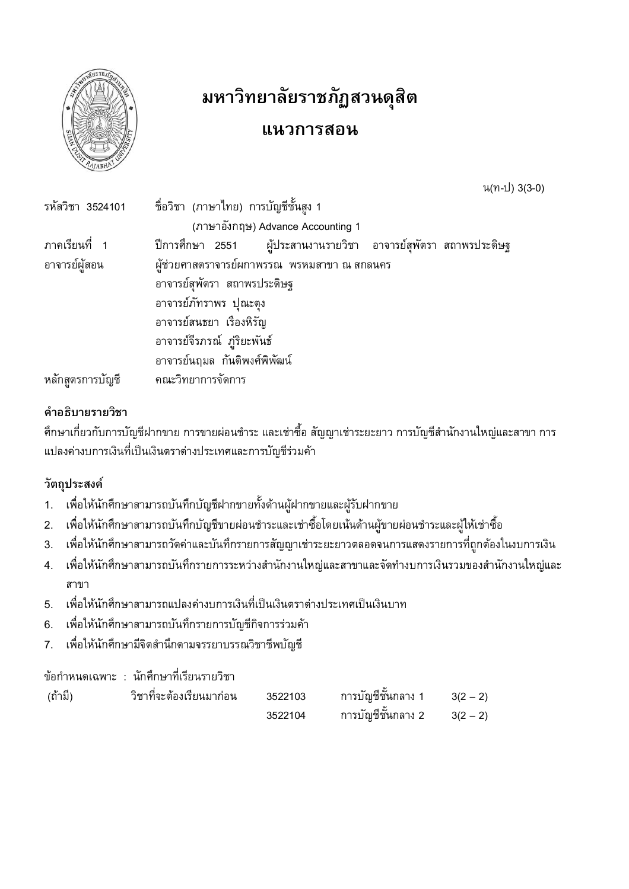

# มหาวิทยาลัยราชภัฏสวนดุสิต

## แนวการสอน

น(ท-ป) 3(3-0)

| รหัสวิชา 3524101 | ์ ชื่อวิชา (ภาษาไทย) การบัญชีชั้นสูง 1                            |
|------------------|-------------------------------------------------------------------|
|                  | (ภาษาอังกฤษ) Advance Accounting 1                                 |
| ภาคเรียนที่ 1    | ี ปีการศึกษา 2551 ผู้ประสานงานรายวิชา อาจารย์สุพัตรา สถาพรประดิษฐ |
| อาจารย์ผู้สอน    | ้ผู้ช่วยศาสตราจารย์ผกาพรรณ พรหมสาขา ณ สกลนคร                      |
|                  | อาจารย์สุพัตรา สถาพรประดิษฐ                                       |
|                  | อาจารย์ภัทราพร ปุณะตุง                                            |
|                  | อาจารย์สนธยา เรื่องหิรัญ                                          |
|                  | อาจารย์จีรภรณ์ ภู่ริยะพันธ์                                       |
|                  | อาจารย์นฤมล กันติพงศ์พิพัฒน์                                      |
| หลักสูตรการบัญชี | คณะวิทยาการจัดการ                                                 |

## คำอธิบายรายวิชา

้ศึกษาเกี่ยวกับการบัญชีฝากขาย การขายผ่อนชำระ และเช่าซื้อ สัญญาเช่าระยะยาว การบัญชีสำนักงานใหญ่และสาขา การ แปลงค่างบการเงินที่เป็นเงินตราต่างประเทศและการบัญชีร่วมค้า

## วัตถุประสงค์

- ้เพื่อให้นักศึกษาสามารถบันทึกบัญชีฝากขายทั้งด้านผู้ฝากขายและผู้รับฝากขาย  $1.$
- เพื่อให้นักศึกษาสามารถบันทึกบัญชีขายผ่อนชำระและเช่าซื้อโดยเน้นด้านผู้ขายผ่อนชำระและผู้ให้เช่าซื้อ  $2.$
- เพื่อให้นักศึกษาสามารถวัดค่าและบันทึกรายการสัญญาเช่าระยะยาวตลอดจนการแสดงรายการที่ถูกต้องในงบการเงิน  $3.$
- ้ เพื่อให้นักศึกษาสามารถบันทึกรายการระหว่างสำนักงานใหญ่และสาขาและจัดทำงบการเงินรวมของสำนักงานใหญ่และ  $4.$ สาขา
- 5. เพื่อให้นักศึกษาสามารถแปลงค่างบการเงินที่เป็นเงินตราต่างประเทศเป็นเงินบาท
- เพื่อให้นักศึกษาสามารถบันทึกรายการบัญชีกิจการร่วมค้า 6.
- เพื่อให้นักศึกษามีจิตสำนึกตามจรรยาบรรณวิชาชีพบัญชี  $7<sup>1</sup>$

### ข้อกำหนดเฉพาะ : นักศึกษาที่เรียนรายวิชา

| (ถ้ามี) | ้วิชาทิจะต้องเรียนมาก่อน | 3522103 | ิ การบัญชีชั้นกลาง 1 | $3(2 - 2)$ |
|---------|--------------------------|---------|----------------------|------------|
|         |                          | 3522104 | ิ การบัญชีชั้นกลาง 2 | $3(2 - 2)$ |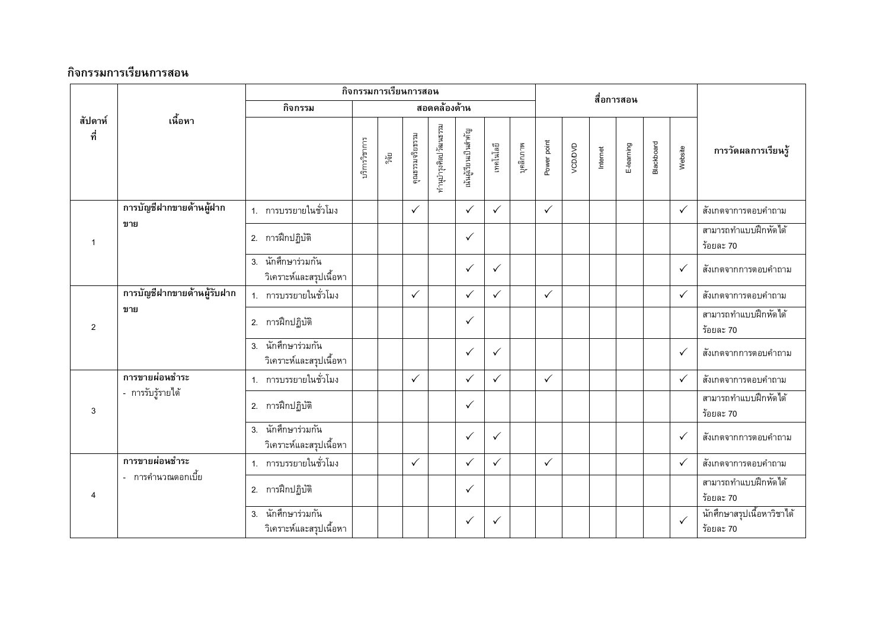|                           |                             |                                                  |             |                 | กิจกรรมการเรียนการสอน |                      |              |              |             | สื่อการสอน   |          |            |            |         |                     |                                         |
|---------------------------|-----------------------------|--------------------------------------------------|-------------|-----------------|-----------------------|----------------------|--------------|--------------|-------------|--------------|----------|------------|------------|---------|---------------------|-----------------------------------------|
|                           |                             | กิจกรรม                                          |             |                 |                       | สอดคล้องด้าน         |              |              |             |              |          |            |            |         |                     |                                         |
| เนื้อหา<br>สัปดาห์<br>ที่ |                             | บริการวิชาการ                                    | ្តិ<br>ភូមិ | คุณธรรมจริยธรรม | ทำนุบำรุงศิลปวัฒนธรรม | นันผู้เรียนเป็นลำคัญ | เทคโนโลยี    | บุคลิกภาพ    | Power point | VCD/DVD      | Internet | E-learning | Blackboard | Website | การวัดผลการเรียนรู้ |                                         |
|                           | การบัญชีฝากขายด้านผู้ฝาก    | 1. การบรรยายในชั่วโมง                            |             |                 | $\checkmark$          |                      | $\checkmark$ | $\checkmark$ |             | $\checkmark$ |          |            |            |         | $\checkmark$        | สังเกตจาการตอบคำถาม                     |
| 1                         | ขาย                         | 2. การฝึกปฏิบัติ                                 |             |                 |                       |                      | $\checkmark$ |              |             |              |          |            |            |         |                     | สามารถทำแบบฝึกหัดได้<br>ร้อยละ 70       |
|                           |                             | 3. นักศึกษาร่วมกัน<br>วิเคราะห์และสรุปเนื้อหา    |             |                 |                       |                      | $\checkmark$ | $\checkmark$ |             |              |          |            |            |         | $\checkmark$        | สังเกตจากการตอบคำถาม                    |
|                           | การบัญชีฝากขายด้านผู้รับฝาก | 1. การบรรยายในชั่วโมง                            |             |                 | $\checkmark$          |                      | $\checkmark$ | $\checkmark$ |             | $\checkmark$ |          |            |            |         | $\checkmark$        | สังเกตจาการตอบคำถาม                     |
| $\overline{2}$            | ขาย                         | 2. การฝึกปฏิบัติ                                 |             |                 |                       |                      | $\checkmark$ |              |             |              |          |            |            |         |                     | สามารถทำแบบฝึกหัดได้<br>ร้อยละ 70       |
|                           |                             | นักศึกษาร่วมกัน<br>3.<br>วิเคราะห์และสรุปเนื้อหา |             |                 |                       |                      | $\checkmark$ | $\checkmark$ |             |              |          |            |            |         | $\checkmark$        | สังเกตจากการตอบคำถาม                    |
|                           | การขายผ่อนชำระ              | 1. การบรรยายในชั่วโมง                            |             |                 | $\checkmark$          |                      | $\checkmark$ | $\checkmark$ |             | $\checkmark$ |          |            |            |         | $\checkmark$        | สังเกตจาการตอบคำถาม                     |
| 3                         | - การรับรู้รายได้           | 2. การฝึกปฏิบัติ                                 |             |                 |                       |                      | $\checkmark$ |              |             |              |          |            |            |         |                     | สามารถทำแบบฝึกหัดได้<br>ร้อยละ 70       |
|                           |                             | นักศึกษาร่วมกัน<br>3.<br>วิเคราะห์และสรุปเนื้อหา |             |                 |                       |                      | $\checkmark$ | $\checkmark$ |             |              |          |            |            |         | $\checkmark$        | สังเกตจากการตอบคำถาม                    |
|                           | การขายผ่อนชำระ              | 1. การบรรยายในชั่วโมง                            |             |                 | $\checkmark$          |                      | $\checkmark$ | $\checkmark$ |             | $\checkmark$ |          |            |            |         | $\checkmark$        | สังเกตจาการตอบคำถาม                     |
| $\overline{4}$            | - การคำนวณดอกเบี้ย          | 2. การฝึกปฏิบัติ                                 |             |                 |                       |                      | $\checkmark$ |              |             |              |          |            |            |         |                     | สามารถทำแบบฝึกหัดได้<br>ร้อยละ 70       |
|                           |                             | นักศึกษาร่วมกัน<br>3.<br>วิเคราะห์และสรุปเนื้อหา |             |                 |                       |                      | $\checkmark$ | $\checkmark$ |             |              |          |            |            |         | $\checkmark$        | นักศึกษาสรุปเนื้อหาวิชาได้<br>ร้อยละ 70 |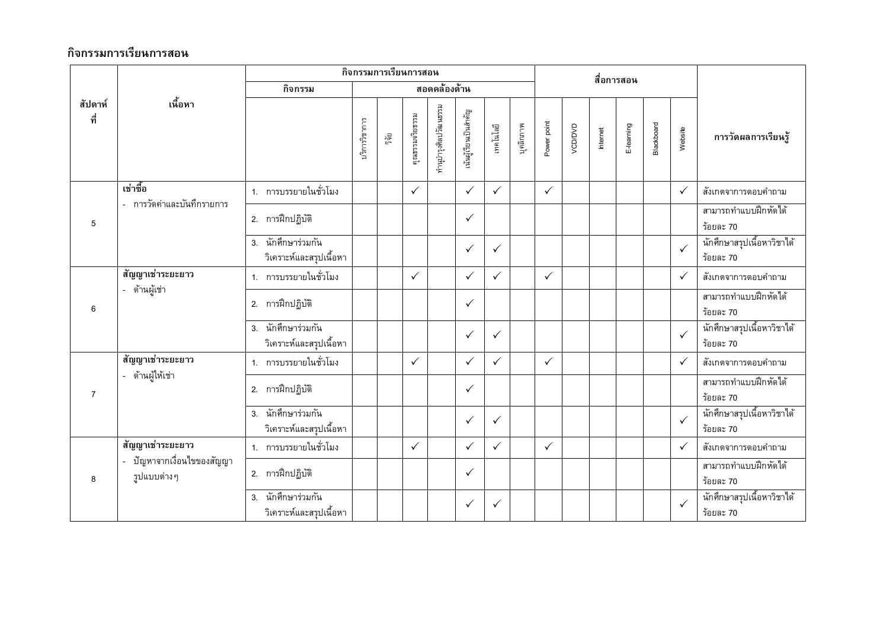|                                              |                                                  |                                                  |               |                 | กิจกรรมการเรียนการสอน |                      |              |              |             | สื่อการสอน   |          |            |            |              |                                          |                                         |
|----------------------------------------------|--------------------------------------------------|--------------------------------------------------|---------------|-----------------|-----------------------|----------------------|--------------|--------------|-------------|--------------|----------|------------|------------|--------------|------------------------------------------|-----------------------------------------|
|                                              |                                                  | กิจกรรม                                          | สอดคล้องด้าน  |                 |                       |                      |              |              |             |              |          |            |            |              |                                          |                                         |
| เนื้อหา<br>สัปดาห์<br>ที่                    |                                                  | เริการวิชาการ                                    | រឹត្រ<br>ភូមិ | คุณธรรมจริยธรรม | ทำนุบำรุงศิลปวัฒนธรรม | นันผู้เรียนเป็นสำคัญ | เทคโนโลยี    | บุคลิกภาพ    | Power point | VCD/DVD      | Internet | E-learning | Blackboard | Website      | การวัดผลการเรียนรู้                      |                                         |
|                                              | เช่าซื้อ<br>- การวัดค่าและบันทึกรายการ           | 1. การบรรยายในชั่วโมง                            |               |                 | $\checkmark$          |                      | $\checkmark$ | $\checkmark$ |             | $\checkmark$ |          |            |            |              | $\checkmark$                             | สังเกตจาการตอบคำถาม                     |
| 5                                            |                                                  | 2. การฝึกปฏิบัติ                                 |               |                 |                       |                      | $\checkmark$ |              |             |              |          |            |            |              |                                          | สามารถทำแบบฝึกหัดได้<br>ร้อยละ 70       |
|                                              | 3. นักศึกษาร่วมกัน<br>วิเคราะห์และสรุปเนื้อหา    |                                                  |               |                 |                       | $\checkmark$         | $\checkmark$ |              |             |              |          |            |            | $\checkmark$ | ้นักศึกษาสรุปเนื้อหาวิชาได้<br>ร้อยละ 70 |                                         |
|                                              | สัญญาเช่าระยะยาว                                 | 1. การบรรยายในชั่วโมง                            |               |                 | $\checkmark$          |                      | $\checkmark$ | $\checkmark$ |             | $\checkmark$ |          |            |            |              | $\checkmark$                             | สังเกตจาการตอบคำถาม                     |
| 6                                            | - ด้านผู้เช่า                                    | 2. การฝึกปฏิบัติ                                 |               |                 |                       |                      | $\checkmark$ |              |             |              |          |            |            |              |                                          | สามารถทำแบบฝึกหัดได้<br>ร้อยละ 70       |
|                                              |                                                  | 3. นักศึกษาร่วมกัน<br>วิเคราะห์และสรุปเนื้อหา    |               |                 |                       |                      | $\checkmark$ | $\checkmark$ |             |              |          |            |            |              | $\checkmark$                             | นักศึกษาสรุปเนื้อหาวิชาได้<br>ร้อยละ 70 |
|                                              | สัญญาเช่าระยะยาว                                 | 1. การบรรยายในชั่วโมง                            |               |                 | $\checkmark$          |                      | $\checkmark$ | $\checkmark$ |             | $\checkmark$ |          |            |            |              | $\checkmark$                             | สังเกตจาการตอบคำถาม                     |
| $\overline{7}$                               | - ด้านผู้ให้เช่า                                 | 2. การฝึกปฏิบัติ                                 |               |                 |                       |                      | $\checkmark$ |              |             |              |          |            |            |              |                                          | สามารถทำแบบฝึกหัดได้<br>ร้อยละ 70       |
|                                              | นักศึกษาร่วมกัน<br>3.<br>วิเคราะห์และสรุปเนื้อหา |                                                  |               |                 |                       | $\checkmark$         | $\checkmark$ |              |             |              |          |            |            | $\checkmark$ | นักศึกษาสรุปเนื้อหาวิชาได้<br>ร้อยละ 70  |                                         |
|                                              | สัญญาเช่าระยะยาว                                 | 1. การบรรยายในชั่วโมง                            |               |                 | $\checkmark$          |                      | $\checkmark$ | $\checkmark$ |             | $\checkmark$ |          |            |            |              | $\checkmark$                             | สังเกตจาการตอบคำถาม                     |
| ปัญหาจากเงื่อนไขของสัญญา<br>รูปแบบต่างๆ<br>8 |                                                  | 2. การฝึกปฏิบัติ                                 |               |                 |                       |                      | $\checkmark$ |              |             |              |          |            |            |              |                                          | สามารถทำแบบฝึกหัดได้<br>ร้อยละ 70       |
|                                              |                                                  | นักศึกษาร่วมกัน<br>3.<br>วิเคราะห์และสรุปเนื้อหา |               |                 |                       |                      | $\checkmark$ | $\checkmark$ |             |              |          |            |            |              | $\checkmark$                             | นักศึกษาสรุปเนื้อหาวิชาได้<br>ร้อยละ 70 |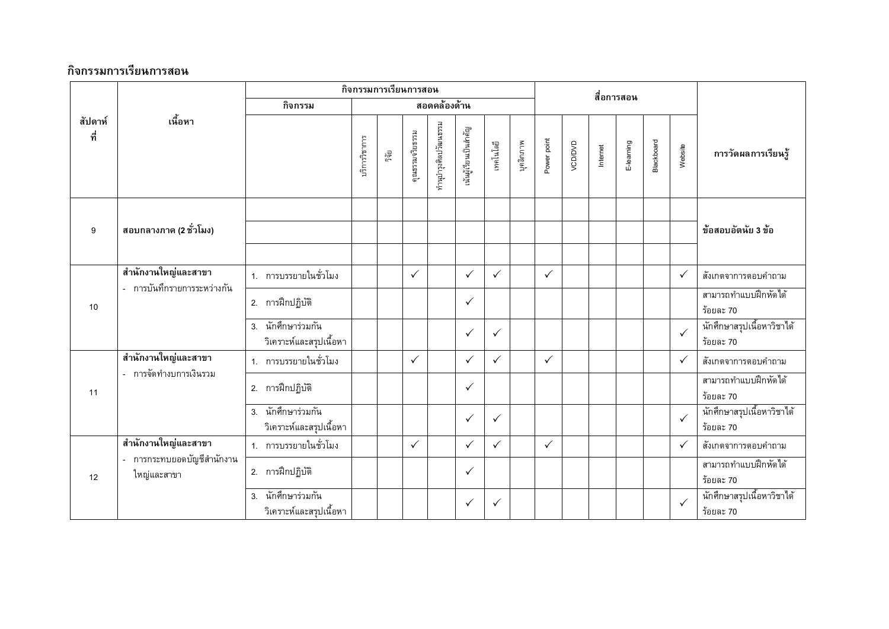|                           |                                                    |                                                  |               |                 | ์กิจกรรมการเรียนการสอน |                      |              |              |             | สื่อการสอน   |          |            |            |         |                     |                                         |
|---------------------------|----------------------------------------------------|--------------------------------------------------|---------------|-----------------|------------------------|----------------------|--------------|--------------|-------------|--------------|----------|------------|------------|---------|---------------------|-----------------------------------------|
|                           |                                                    | กิจกรรม                                          |               |                 |                        | สอดคล้องด้าน         |              |              |             |              |          |            |            |         |                     |                                         |
| เนื้อหา<br>สัปดาห์<br>ที่ |                                                    | บริการวิชาการ                                    | រត្តិ<br>ភូមិ | คุณธรรมจริยธรรม | ทำนุบำรุงศิลปวัฒนธรรม  | นันผู้เรียนเป็นสำคัญ | เทคโนโลยี    | บุคลิกภาพ    | Power point | VCD/DVD      | Internet | E-learning | Blackboard | Website | การวัดผลการเรียนรู้ |                                         |
| 9                         | ี สอบกลางภาค (2 ชั่วโมง)                           |                                                  |               |                 |                        |                      |              |              |             |              |          |            |            |         |                     | ข้อสอบอัตนัย 3 ข้อ                      |
|                           | สำนักงานใหญ่และสาขา<br>- การบันทึกรายการระหว่างกัน | 1. การบรรยายในชั่วโมง                            |               |                 | $\checkmark$           |                      | $\checkmark$ | $\checkmark$ |             | $\checkmark$ |          |            |            |         | $\checkmark$        | สังเกตจาการตอบคำถาม                     |
| 10                        |                                                    | 2. การฝึกปฏิบัติ                                 |               |                 |                        |                      | $\checkmark$ |              |             |              |          |            |            |         |                     | สามารถทำแบบฝึกหัดได้<br>ร้อยละ 70       |
|                           |                                                    | นักศึกษาร่วมกัน<br>3.<br>วิเคราะห์และสรุปเนื้อหา |               |                 |                        |                      | $\checkmark$ | $\checkmark$ |             |              |          |            |            |         | $\checkmark$        | นักศึกษาสรุปเนื้อหาวิชาได้<br>ร้อยละ 70 |
|                           | สำนักงานใหญ่และสาขา                                | 1. การบรรยายในชั่วโมง                            |               |                 | $\checkmark$           |                      | $\checkmark$ | $\checkmark$ |             | $\checkmark$ |          |            |            |         | $\checkmark$        | สังเกตจาการตอบคำถาม                     |
| 11                        | - การจัดทำงบการเงินรวม                             | 2. การฝึกปฏิบัติ                                 |               |                 |                        |                      | $\checkmark$ |              |             |              |          |            |            |         |                     | สามารถทำแบบฝึกหัดได้<br>ร้อยละ 70       |
|                           |                                                    | 3. นักศึกษาร่วมกัน<br>วิเคราะห์และสรุปเนื้อหา    |               |                 |                        |                      | $\checkmark$ | $\checkmark$ |             |              |          |            |            |         | $\checkmark$        | นักศึกษาสรุปเนื้อหาวิชาได้<br>ร้อยละ 70 |
|                           | สำนักงานใหญ่และสาขา                                | 1. การบรรยายในชั่วโมง                            |               |                 | $\checkmark$           |                      | $\checkmark$ | $\checkmark$ |             | $\checkmark$ |          |            |            |         | $\checkmark$        | สังเกตจาการตอบคำถาม                     |
| 12                        | - การกระทบยอดบัญชีสำนักงาน<br>ใหญ่และสาขา          | 2. การฝึกปฏิบัติ                                 |               |                 |                        |                      | $\checkmark$ |              |             |              |          |            |            |         |                     | สามารถทำแบบฝึกหัดได้<br>ร้อยละ 70       |
|                           |                                                    | 3. นักศึกษาร่วมกัน<br>วิเคราะห์และสรุปเนื้อหา    |               |                 |                        |                      | $\checkmark$ | $\checkmark$ |             |              |          |            |            |         | $\checkmark$        | นักศึกษาสรุปเนื้อหาวิชาได้<br>ร้อยละ 70 |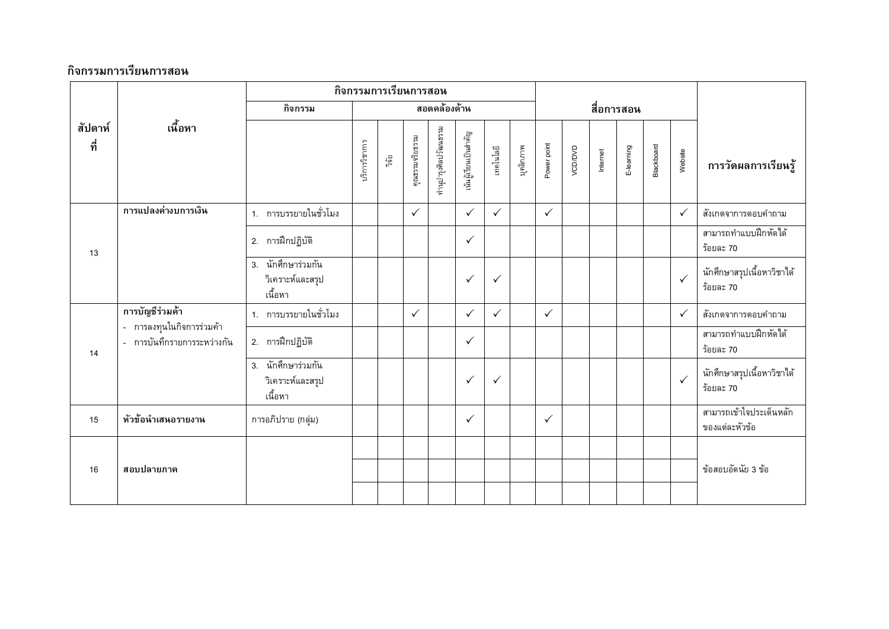|                           |                                                          |                                                   | กิจกรรมการเรียนการสอน |                 |                       |                       |              |              |             |              |          |           |            |         |                     |                                           |
|---------------------------|----------------------------------------------------------|---------------------------------------------------|-----------------------|-----------------|-----------------------|-----------------------|--------------|--------------|-------------|--------------|----------|-----------|------------|---------|---------------------|-------------------------------------------|
|                           |                                                          | กิจกรรม                                           |                       |                 |                       | สอดคล้องด้าน          |              |              |             |              |          |           | สื่อการสอน |         |                     |                                           |
| เนื้อหา<br>สัปดาห์<br>ที่ |                                                          | บริการวิชาการ                                     | ្នឹត្តិ               | คุณธรรมจริยธรรม | กำนุบำรุงศิลปวัฒนธรรม | ,นันผู้เรียนเป็นสำคัญ | เทคโนโลยี    | บุคลิกภาพ    | Power point | VCD/DVD      | Internet | E-leaming | Blackboard | Website | การวัดผลการเรียนรู้ |                                           |
|                           | การแปลงค่างบการเงิน                                      | 1. การบรรยายในชั่วโมง                             |                       |                 | $\checkmark$          |                       | $\checkmark$ | $\checkmark$ |             | $\checkmark$ |          |           |            |         | $\checkmark$        | สังเกตจาการตอบคำถาม                       |
| 13                        |                                                          | 2. การฝึกปฏิบัติ                                  |                       |                 |                       |                       | $\checkmark$ |              |             |              |          |           |            |         |                     | สามารถทำแบบฝึกหัดได้<br>ร้อยละ 70         |
|                           |                                                          | 3. นักศึกษาร่วมกัน<br>วิเคราะห์และสรุป<br>เนื้อหา |                       |                 |                       |                       | $\checkmark$ | $\checkmark$ |             |              |          |           |            |         | $\checkmark$        | นักศึกษาสรุปเนื้อหาวิชาได้<br>ร้อยละ 70   |
|                           | การบัญชีร่วมค้า                                          | 1. การบรรยายในชั่วโมง                             |                       |                 | $\checkmark$          |                       | $\checkmark$ | $\checkmark$ |             | $\checkmark$ |          |           |            |         | $\checkmark$        | สังเกตจาการตอบคำถาม                       |
| 14                        | - การลงทุนในกิจการร่วมค้า<br>- การบันทึกรายการระหว่างกัน | 2. การฝึกปฏิบัติ                                  |                       |                 |                       |                       | $\checkmark$ |              |             |              |          |           |            |         |                     | สามารถทำแบบฝึกหัดได้<br>ร้อยละ 70         |
|                           |                                                          | 3. นักศึกษาร่วมกัน<br>วิเคราะห์และสรุป<br>เนื้อหา |                       |                 |                       |                       | $\checkmark$ | $\checkmark$ |             |              |          |           |            |         | $\checkmark$        | นักศึกษาสรุปเนื้อหาวิชาได้<br>ร้อยละ 70   |
| 15                        | หัวข้อนำเสนอรายงาน                                       | การอภิปราย (กลุ่ม)                                |                       |                 |                       |                       | $\checkmark$ |              |             | $\checkmark$ |          |           |            |         |                     | สามารถเข้าใจประเด็นหลัก<br>ของแต่ละหัวข้อ |
| 16                        | สอบปลายภาค                                               |                                                   |                       |                 |                       |                       |              |              |             |              |          |           |            |         |                     | ข้อสอบอัตนัย 3 ข้อ                        |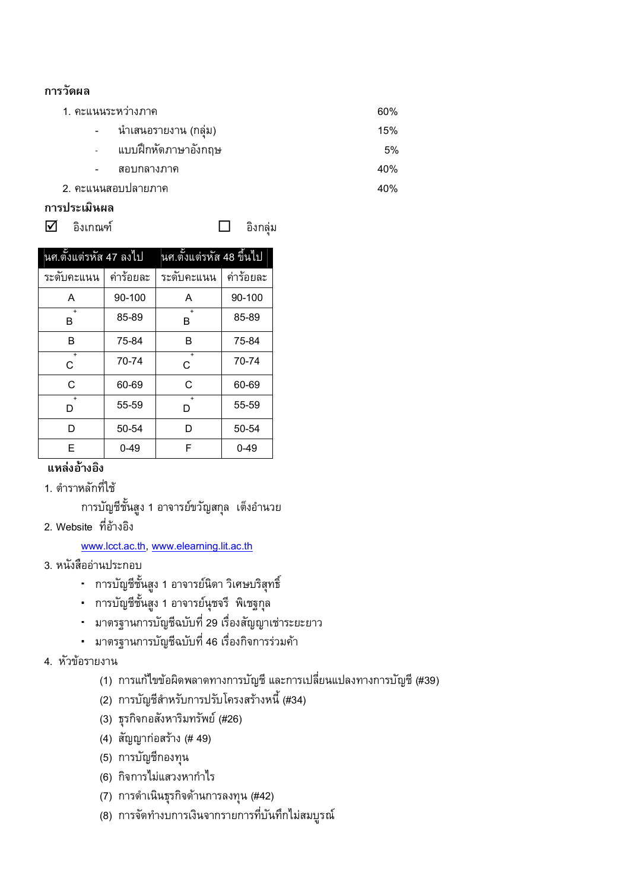#### การวัดผล

- 1. คะแนนระหว่างภาค 60% นำเสนอรายงาน (กลุ่ม)  $\mathbb{Z}^{\mathbb{Z}}$ 15% แบบฝึกหัดภาษาอังกฤษ 5%
	-
	- สอบกลางภาค
- 2. คะแนนสอบปลายภาค

#### การประเมินผล

 $\overline{\mathsf{M}}$  อิงเกณฑ์

 $\Box$ อิงกลุ่ม 40%

40%

| นศ.ตั้งแต่รหัส 47 ลงไป |           | <u>นศ.</u> ตั้งแต่รหัส 48 ขึ้นไป |           |  |  |  |  |  |  |
|------------------------|-----------|----------------------------------|-----------|--|--|--|--|--|--|
| ระดับคะแนน             | ค่าร้อยละ | ระดับคะแนน                       | ค่าร้อยละ |  |  |  |  |  |  |
| A                      | 90-100    | A                                | 90-100    |  |  |  |  |  |  |
| $\ddot{}$<br>B         | 85-89     | $+$<br>B                         | 85-89     |  |  |  |  |  |  |
| B                      | 75-84     | B                                | 75-84     |  |  |  |  |  |  |
| $\ddot{}$<br>C         | 70-74     | $+$<br>C                         | 70-74     |  |  |  |  |  |  |
| C                      | 60-69     | C                                | 60-69     |  |  |  |  |  |  |
| $\ddot{}$<br>D         | 55-59     | $\overline{+}$<br>D              | 55-59     |  |  |  |  |  |  |
| D                      | 50-54     | D                                | 50-54     |  |  |  |  |  |  |
| E                      | $0 - 49$  | F                                | $0 - 49$  |  |  |  |  |  |  |

#### แหล่งอ้างอิง

1. ตำราหลักที่ใช้

การบัญชีชั้นสูง 1 อาจารย์ขวัญสกุล เต็งอำนวย

2. Website ที่อ้างอิง

#### www.lcct.ac.th, www.elearning.lit.ac.th

- 3. หนังสืออ่านประกอบ
	- การบัญชีชั้นสูง 1 อาจารย์นิดา วิเศษบริสุทธิ์
	- การบัญชีชั้นสูง 1 อาจารย์นุชจรี พิเชฐกุล
	- มาตรฐานการบัญชีฉบับที่ 29 เรื่องสัญญาเช่าระยะยาว
	- มาตรฐานการบัญชีฉบับที่ 46 เรื่องกิจการร่วมค้า
- 4. หัวข้อรายงาน
	- (1) การแก้ไขข้อผิดพลาดทางการบัญชี และการเปลี่ยนแปลงทางการบัญชี (#39)
	- (2) การบัญชีสำหรับการปรับโครงสร้างหนี้ (#34)
	- (3) ธุรกิจกอสังหาริมทรัพย์ (#26)
	- (4) สัญญาก่อสร้าง (# 49)
	- (5) การบัญชีกองทุน
	- (6) กิจการไม่แสวงหากำไร
	- (7) การดำเนินธุรกิจด้านการลงทุน (#42)
	- (8) การจัดทำงบการเงินจากรายการที่บันทึกไม่สมบูรณ์